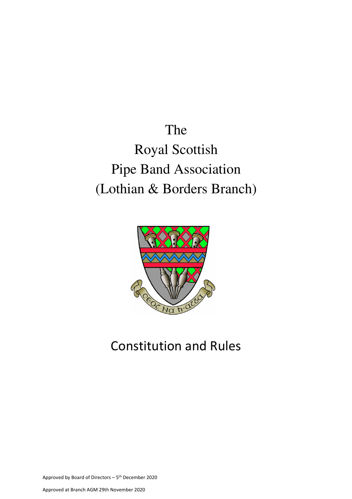# The Royal Scottish Pipe Band Association (Lothian & Borders Branch)



## Constitution and Rules

Approved by Board of Directors – 5th December 2020

Approved at Branch AGM 29th November 2020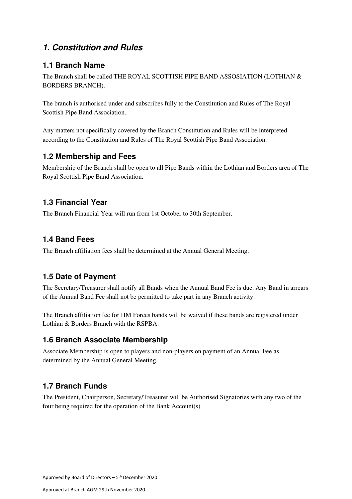## **1. Constitution and Rules**

#### **1.1 Branch Name**

The Branch shall be called THE ROYAL SCOTTISH PIPE BAND ASSOSIATION (LOTHIAN & BORDERS BRANCH).

The branch is authorised under and subscribes fully to the Constitution and Rules of The Royal Scottish Pipe Band Association.

Any matters not specifically covered by the Branch Constitution and Rules will be interpreted according to the Constitution and Rules of The Royal Scottish Pipe Band Association.

#### **1.2 Membership and Fees**

Membership of the Branch shall be open to all Pipe Bands within the Lothian and Borders area of The Royal Scottish Pipe Band Association.

#### **1.3 Financial Year**

The Branch Financial Year will run from 1st October to 30th September.

#### **1.4 Band Fees**

The Branch affiliation fees shall be determined at the Annual General Meeting.

#### **1.5 Date of Payment**

The Secretary/Treasurer shall notify all Bands when the Annual Band Fee is due. Any Band in arrears of the Annual Band Fee shall not be permitted to take part in any Branch activity.

The Branch affiliation fee for HM Forces bands will be waived if these bands are registered under Lothian & Borders Branch with the RSPBA.

#### **1.6 Branch Associate Membership**

Associate Membership is open to players and non-players on payment of an Annual Fee as determined by the Annual General Meeting.

### **1.7 Branch Funds**

The President, Chairperson, Secretary/Treasurer will be Authorised Signatories with any two of the four being required for the operation of the Bank Account(s)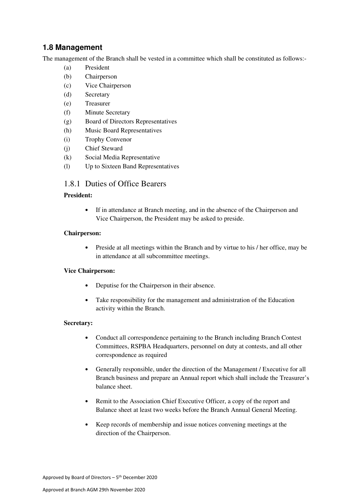#### **1.8 Management**

The management of the Branch shall be vested in a committee which shall be constituted as follows:-

- (a) President
- (b) Chairperson
- (c) Vice Chairperson
- (d) Secretary
- (e) Treasurer
- (f) Minute Secretary
- (g) Board of Directors Representatives
- (h) Music Board Representatives
- (i) Trophy Convenor
- (j) Chief Steward
- (k) Social Media Representative
- (l) Up to Sixteen Band Representatives

#### 1.8.1 Duties of Office Bearers

#### **President:**

• If in attendance at Branch meeting, and in the absence of the Chairperson and Vice Chairperson, the President may be asked to preside.

#### **Chairperson:**

• Preside at all meetings within the Branch and by virtue to his / her office, may be in attendance at all subcommittee meetings.

#### **Vice Chairperson:**

- Deputise for the Chairperson in their absence.
- Take responsibility for the management and administration of the Education activity within the Branch.

#### **Secretary:**

- Conduct all correspondence pertaining to the Branch including Branch Contest Committees, RSPBA Headquarters, personnel on duty at contests, and all other correspondence as required
- Generally responsible, under the direction of the Management / Executive for all Branch business and prepare an Annual report which shall include the Treasurer's balance sheet.
- Remit to the Association Chief Executive Officer, a copy of the report and Balance sheet at least two weeks before the Branch Annual General Meeting.
- Keep records of membership and issue notices convening meetings at the direction of the Chairperson.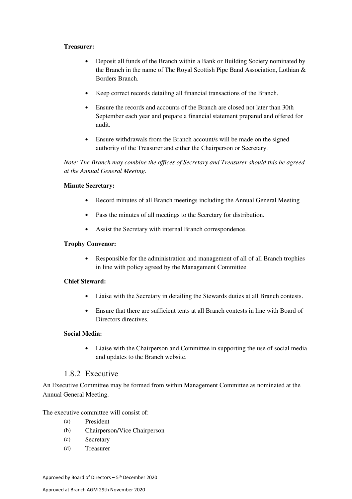#### **Treasurer:**

- Deposit all funds of the Branch within a Bank or Building Society nominated by the Branch in the name of The Royal Scottish Pipe Band Association, Lothian & Borders Branch.
- Keep correct records detailing all financial transactions of the Branch.
- Ensure the records and accounts of the Branch are closed not later than 30th September each year and prepare a financial statement prepared and offered for audit.
- Ensure withdrawals from the Branch account/s will be made on the signed authority of the Treasurer and either the Chairperson or Secretary.

*Note: The Branch may combine the offices of Secretary and Treasurer should this be agreed at the Annual General Meeting.* 

#### **Minute Secretary:**

- Record minutes of all Branch meetings including the Annual General Meeting
- Pass the minutes of all meetings to the Secretary for distribution.
- Assist the Secretary with internal Branch correspondence.

#### **Trophy Convenor:**

• Responsible for the administration and management of all of all Branch trophies in line with policy agreed by the Management Committee

#### **Chief Steward:**

- Liaise with the Secretary in detailing the Stewards duties at all Branch contests.
- Ensure that there are sufficient tents at all Branch contests in line with Board of Directors directives.

#### **Social Media:**

• Liaise with the Chairperson and Committee in supporting the use of social media and updates to the Branch website.

#### 1.8.2 Executive

An Executive Committee may be formed from within Management Committee as nominated at the Annual General Meeting.

The executive committee will consist of:

- (a) President
- (b) Chairperson/Vice Chairperson
- (c) Secretary
- (d) Treasurer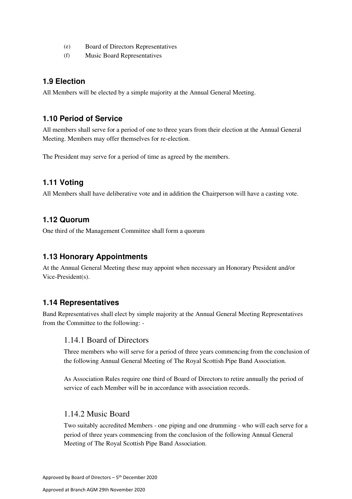- (e) Board of Directors Representatives
- (f) Music Board Representatives

#### **1.9 Election**

All Members will be elected by a simple majority at the Annual General Meeting.

#### **1.10 Period of Service**

All members shall serve for a period of one to three years from their election at the Annual General Meeting. Members may offer themselves for re-election.

The President may serve for a period of time as agreed by the members.

#### **1.11 Voting**

All Members shall have deliberative vote and in addition the Chairperson will have a casting vote.

#### **1.12 Quorum**

One third of the Management Committee shall form a quorum

#### **1.13 Honorary Appointments**

At the Annual General Meeting these may appoint when necessary an Honorary President and/or Vice-President(s).

#### **1.14 Representatives**

Band Representatives shall elect by simple majority at the Annual General Meeting Representatives from the Committee to the following: -

#### 1.14.1 Board of Directors

Three members who will serve for a period of three years commencing from the conclusion of the following Annual General Meeting of The Royal Scottish Pipe Band Association.

As Association Rules require one third of Board of Directors to retire annually the period of service of each Member will be in accordance with association records.

#### 1.14.2 Music Board

Two suitably accredited Members - one piping and one drumming - who will each serve for a period of three years commencing from the conclusion of the following Annual General Meeting of The Royal Scottish Pipe Band Association.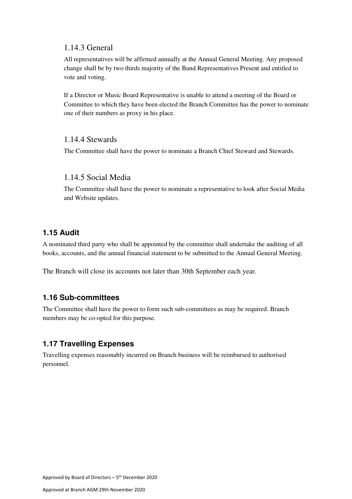#### 1.14.3 General

All representatives will be affirmed annually at the Annual General Meeting. Any proposed change shall be by two thirds majority of the Band Representatives Present and entitled to vote and voting.

If a Director or Music Board Representative is unable to attend a meeting of the Board or Committee to which they have been elected the Branch Committee has the power to nominate one of their numbers as proxy in his place.

#### 1.14.4 Stewards

The Committee shall have the power to nominate a Branch Chief Steward and Stewards.

#### 1.14.5 Social Media

The Committee shall have the power to nominate a representative to look after Social Media and Website updates.

#### **1.15 Audit**

A nominated third party who shall be appointed by the committee shall undertake the auditing of all books, accounts, and the annual financial statement to be submitted to the Annual General Meeting.

The Branch will close its accounts not later than 30th September each year.

#### **1.16 Sub-committees**

The Committee shall have the power to form such sub-committees as may be required. Branch members may be co-opted for this purpose.

#### **1.17 Travelling Expenses**

Travelling expenses reasonably incurred on Branch business will be reimbursed to authorised personnel.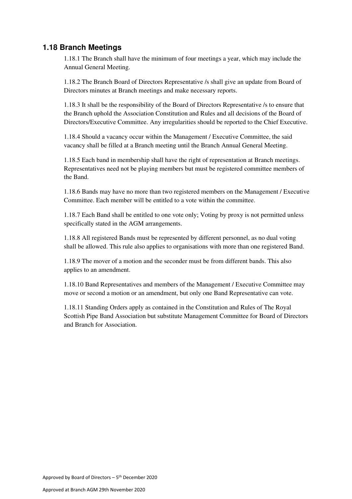#### **1.18 Branch Meetings**

1.18.1 The Branch shall have the minimum of four meetings a year, which may include the Annual General Meeting.

1.18.2 The Branch Board of Directors Representative /s shall give an update from Board of Directors minutes at Branch meetings and make necessary reports.

1.18.3 It shall be the responsibility of the Board of Directors Representative /s to ensure that the Branch uphold the Association Constitution and Rules and all decisions of the Board of Directors/Executive Committee. Any irregularities should be reported to the Chief Executive.

1.18.4 Should a vacancy occur within the Management / Executive Committee, the said vacancy shall be filled at a Branch meeting until the Branch Annual General Meeting.

1.18.5 Each band in membership shall have the right of representation at Branch meetings. Representatives need not be playing members but must be registered committee members of the Band.

1.18.6 Bands may have no more than two registered members on the Management / Executive Committee. Each member will be entitled to a vote within the committee.

1.18.7 Each Band shall be entitled to one vote only; Voting by proxy is not permitted unless specifically stated in the AGM arrangements.

1.18.8 All registered Bands must be represented by different personnel, as no dual voting shall be allowed. This rule also applies to organisations with more than one registered Band.

1.18.9 The mover of a motion and the seconder must be from different bands. This also applies to an amendment.

1.18.10 Band Representatives and members of the Management / Executive Committee may move or second a motion or an amendment, but only one Band Representative can vote.

1.18.11 Standing Orders apply as contained in the Constitution and Rules of The Royal Scottish Pipe Band Association but substitute Management Committee for Board of Directors and Branch for Association.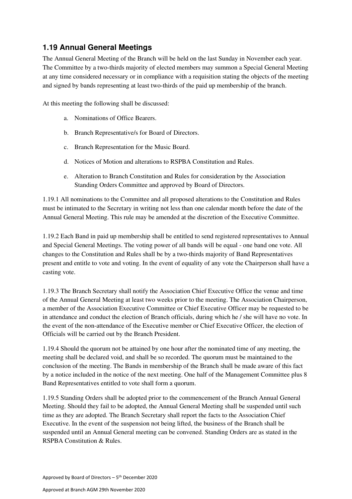## **1.19 Annual General Meetings**

The Annual General Meeting of the Branch will be held on the last Sunday in November each year. The Committee by a two-thirds majority of elected members may summon a Special General Meeting at any time considered necessary or in compliance with a requisition stating the objects of the meeting and signed by bands representing at least two-thirds of the paid up membership of the branch.

At this meeting the following shall be discussed:

- a. Nominations of Office Bearers.
- b. Branch Representative/s for Board of Directors.
- c. Branch Representation for the Music Board.
- d. Notices of Motion and alterations to RSPBA Constitution and Rules.
- e. Alteration to Branch Constitution and Rules for consideration by the Association Standing Orders Committee and approved by Board of Directors.

1.19.1 All nominations to the Committee and all proposed alterations to the Constitution and Rules must be intimated to the Secretary in writing not less than one calendar month before the date of the Annual General Meeting. This rule may be amended at the discretion of the Executive Committee.

1.19.2 Each Band in paid up membership shall be entitled to send registered representatives to Annual and Special General Meetings. The voting power of all bands will be equal - one band one vote. All changes to the Constitution and Rules shall be by a two-thirds majority of Band Representatives present and entitle to vote and voting. In the event of equality of any vote the Chairperson shall have a casting vote.

1.19.3 The Branch Secretary shall notify the Association Chief Executive Office the venue and time of the Annual General Meeting at least two weeks prior to the meeting. The Association Chairperson, a member of the Association Executive Committee or Chief Executive Officer may be requested to be in attendance and conduct the election of Branch officials, during which he / she will have no vote. In the event of the non-attendance of the Executive member or Chief Executive Officer, the election of Officials will be carried out by the Branch President.

1.19.4 Should the quorum not be attained by one hour after the nominated time of any meeting, the meeting shall be declared void, and shall be so recorded. The quorum must be maintained to the conclusion of the meeting. The Bands in membership of the Branch shall be made aware of this fact by a notice included in the notice of the next meeting. One half of the Management Committee plus 8 Band Representatives entitled to vote shall form a quorum.

1.19.5 Standing Orders shall be adopted prior to the commencement of the Branch Annual General Meeting. Should they fail to be adopted, the Annual General Meeting shall be suspended until such time as they are adopted. The Branch Secretary shall report the facts to the Association Chief Executive. In the event of the suspension not being lifted, the business of the Branch shall be suspended until an Annual General meeting can be convened. Standing Orders are as stated in the RSPBA Constitution & Rules.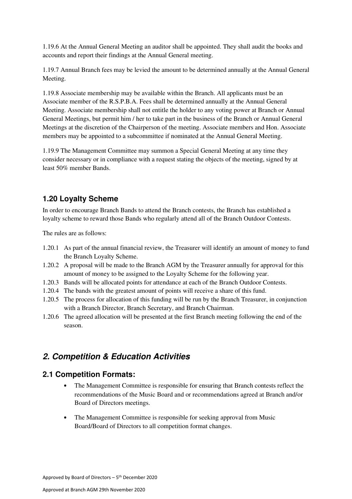1.19.6 At the Annual General Meeting an auditor shall be appointed. They shall audit the books and accounts and report their findings at the Annual General meeting.

1.19.7 Annual Branch fees may be levied the amount to be determined annually at the Annual General Meeting.

1.19.8 Associate membership may be available within the Branch. All applicants must be an Associate member of the R.S.P.B.A. Fees shall be determined annually at the Annual General Meeting. Associate membership shall not entitle the holder to any voting power at Branch or Annual General Meetings, but permit him / her to take part in the business of the Branch or Annual General Meetings at the discretion of the Chairperson of the meeting. Associate members and Hon. Associate members may be appointed to a subcommittee if nominated at the Annual General Meeting.

1.19.9 The Management Committee may summon a Special General Meeting at any time they consider necessary or in compliance with a request stating the objects of the meeting, signed by at least 50% member Bands.

### **1.20 Loyalty Scheme**

In order to encourage Branch Bands to attend the Branch contests, the Branch has established a loyalty scheme to reward those Bands who regularly attend all of the Branch Outdoor Contests.

The rules are as follows:

- 1.20.1 As part of the annual financial review, the Treasurer will identify an amount of money to fund the Branch Loyalty Scheme.
- 1.20.2 A proposal will be made to the Branch AGM by the Treasurer annually for approval for this amount of money to be assigned to the Loyalty Scheme for the following year.
- 1.20.3 Bands will be allocated points for attendance at each of the Branch Outdoor Contests.
- 1.20.4 The bands with the greatest amount of points will receive a share of this fund.
- 1.20.5 The process for allocation of this funding will be run by the Branch Treasurer, in conjunction with a Branch Director, Branch Secretary, and Branch Chairman.
- 1.20.6 The agreed allocation will be presented at the first Branch meeting following the end of the season.

## **2. Competition & Education Activities**

#### **2.1 Competition Formats:**

- The Management Committee is responsible for ensuring that Branch contests reflect the recommendations of the Music Board and or recommendations agreed at Branch and/or Board of Directors meetings.
- The Management Committee is responsible for seeking approval from Music Board/Board of Directors to all competition format changes.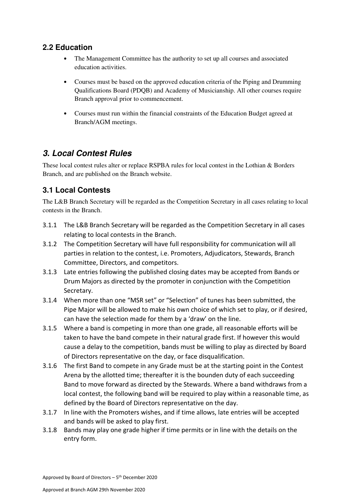## **2.2 Education**

- The Management Committee has the authority to set up all courses and associated education activities.
- Courses must be based on the approved education criteria of the Piping and Drumming Qualifications Board (PDQB) and Academy of Musicianship. All other courses require Branch approval prior to commencement.
- Courses must run within the financial constraints of the Education Budget agreed at Branch/AGM meetings.

## **3. Local Contest Rules**

These local contest rules alter or replace RSPBA rules for local contest in the Lothian & Borders Branch, and are published on the Branch website.

## **3.1 Local Contests**

The L&B Branch Secretary will be regarded as the Competition Secretary in all cases relating to local contests in the Branch.

- 3.1.1 The L&B Branch Secretary will be regarded as the Competition Secretary in all cases relating to local contests in the Branch.
- 3.1.2 The Competition Secretary will have full responsibility for communication will all parties in relation to the contest, i.e. Promoters, Adjudicators, Stewards, Branch Committee, Directors, and competitors.
- 3.1.3 Late entries following the published closing dates may be accepted from Bands or Drum Majors as directed by the promoter in conjunction with the Competition Secretary.
- 3.1.4 When more than one "MSR set" or "Selection" of tunes has been submitted, the Pipe Major will be allowed to make his own choice of which set to play, or if desired, can have the selection made for them by a 'draw' on the line.
- 3.1.5 Where a band is competing in more than one grade, all reasonable efforts will be taken to have the band compete in their natural grade first. If however this would cause a delay to the competition, bands must be willing to play as directed by Board of Directors representative on the day, or face disqualification.
- 3.1.6 The first Band to compete in any Grade must be at the starting point in the Contest Arena by the allotted time; thereafter it is the bounden duty of each succeeding Band to move forward as directed by the Stewards. Where a band withdraws from a local contest, the following band will be required to play within a reasonable time, as defined by the Board of Directors representative on the day.
- 3.1.7 In line with the Promoters wishes, and if time allows, late entries will be accepted and bands will be asked to play first.
- 3.1.8 Bands may play one grade higher if time permits or in line with the details on the entry form.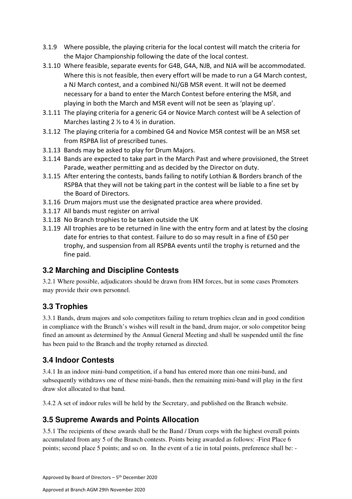- 3.1.9 Where possible, the playing criteria for the local contest will match the criteria for the Major Championship following the date of the local contest.
- 3.1.10 Where feasible, separate events for G4B, G4A, NJB, and NJA will be accommodated. Where this is not feasible, then every effort will be made to run a G4 March contest, a NJ March contest, and a combined NJ/GB MSR event. It will not be deemed necessary for a band to enter the March Contest before entering the MSR, and playing in both the March and MSR event will not be seen as 'playing up'.
- 3.1.11 The playing criteria for a generic G4 or Novice March contest will be A selection of Marches lasting 2 ½ to 4 ½ in duration.
- 3.1.12 The playing criteria for a combined G4 and Novice MSR contest will be an MSR set from RSPBA list of prescribed tunes.
- 3.1.13 Bands may be asked to play for Drum Majors.
- 3.1.14 Bands are expected to take part in the March Past and where provisioned, the Street Parade, weather permitting and as decided by the Director on duty.
- 3.1.15 After entering the contests, bands failing to notify Lothian & Borders branch of the RSPBA that they will not be taking part in the contest will be liable to a fine set by the Board of Directors.
- 3.1.16 Drum majors must use the designated practice area where provided.
- 3.1.17 All bands must register on arrival
- 3.1.18 No Branch trophies to be taken outside the UK
- 3.1.19 All trophies are to be returned in line with the entry form and at latest by the closing date for entries to that contest. Failure to do so may result in a fine of £50 per trophy, and suspension from all RSPBA events until the trophy is returned and the fine paid.

## **3.2 Marching and Discipline Contests**

3.2.1 Where possible, adjudicators should be drawn from HM forces, but in some cases Promoters may provide their own personnel.

## **3.3 Trophies**

3.3.1 Bands, drum majors and solo competitors failing to return trophies clean and in good condition in compliance with the Branch's wishes will result in the band, drum major, or solo competitor being fined an amount as determined by the Annual General Meeting and shall be suspended until the fine has been paid to the Branch and the trophy returned as directed.

## **3.4 Indoor Contests**

3.4.1 In an indoor mini-band competition, if a band has entered more than one mini-band, and subsequently withdraws one of these mini-bands, then the remaining mini-band will play in the first draw slot allocated to that band.

3.4.2 A set of indoor rules will be held by the Secretary, and published on the Branch website.

## **3.5 Supreme Awards and Points Allocation**

3.5.1 The recipients of these awards shall be the Band / Drum corps with the highest overall points accumulated from any 5 of the Branch contests. Points being awarded as follows: -First Place 6 points; second place 5 points; and so on. In the event of a tie in total points, preference shall be: -